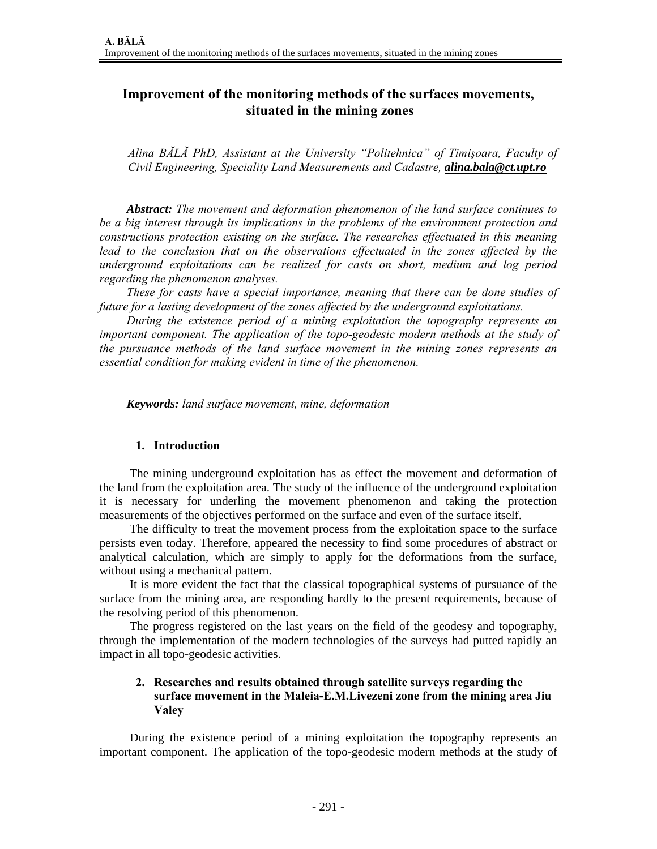# **Improvement of the monitoring methods of the surfaces movements, situated in the mining zones**

*Alina BĂLĂ PhD, Assistant at the University "Politehnica" of Timişoara, Faculty of Civil Engineering, Speciality Land Measurements and Cadastre, alina.bala@ct.upt.ro*

*Abstract: The movement and deformation phenomenon of the land surface continues to be a big interest through its implications in the problems of the environment protection and constructions protection existing on the surface. The researches effectuated in this meaning lead to the conclusion that on the observations effectuated in the zones affected by the underground exploitations can be realized for casts on short, medium and log period regarding the phenomenon analyses.* 

*These for casts have a special importance, meaning that there can be done studies of future for a lasting development of the zones affected by the underground exploitations.* 

*During the existence period of a mining exploitation the topography represents an important component. The application of the topo-geodesic modern methods at the study of the pursuance methods of the land surface movement in the mining zones represents an essential condition for making evident in time of the phenomenon.* 

*Keywords: land surface movement, mine, deformation* 

### **1. Introduction**

The mining underground exploitation has as effect the movement and deformation of the land from the exploitation area. The study of the influence of the underground exploitation it is necessary for underling the movement phenomenon and taking the protection measurements of the objectives performed on the surface and even of the surface itself.

The difficulty to treat the movement process from the exploitation space to the surface persists even today. Therefore, appeared the necessity to find some procedures of abstract or analytical calculation, which are simply to apply for the deformations from the surface, without using a mechanical pattern.

It is more evident the fact that the classical topographical systems of pursuance of the surface from the mining area, are responding hardly to the present requirements, because of the resolving period of this phenomenon.

The progress registered on the last years on the field of the geodesy and topography, through the implementation of the modern technologies of the surveys had putted rapidly an impact in all topo-geodesic activities.

## **2. Researches and results obtained through satellite surveys regarding the surface movement in the Maleia-E.M.Livezeni zone from the mining area Jiu Valey**

During the existence period of a mining exploitation the topography represents an important component. The application of the topo-geodesic modern methods at the study of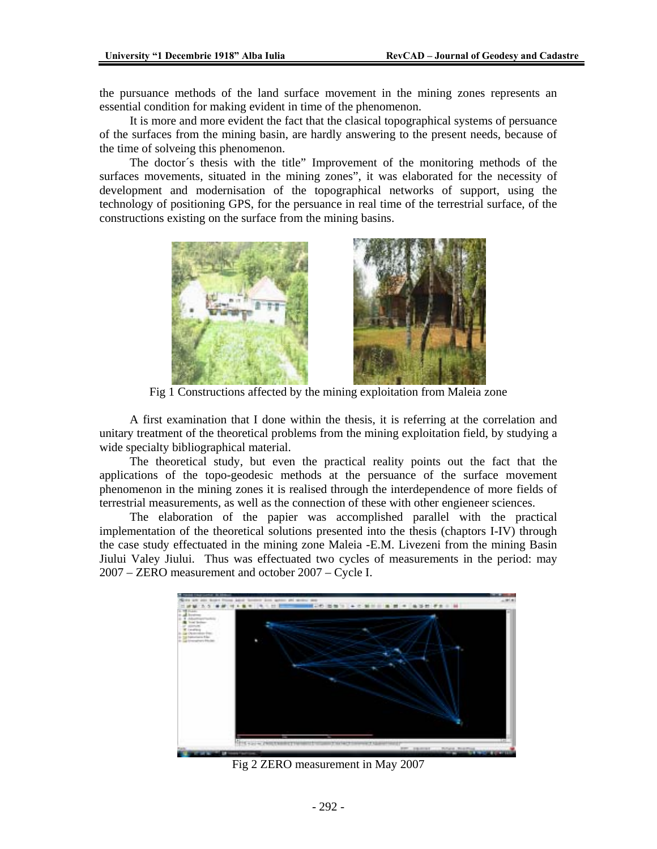the pursuance methods of the land surface movement in the mining zones represents an essential condition for making evident in time of the phenomenon.

It is more and more evident the fact that the clasical topographical systems of persuance of the surfaces from the mining basin, are hardly answering to the present needs, because of the time of solveing this phenomenon.

The doctor´s thesis with the title" Improvement of the monitoring methods of the surfaces movements, situated in the mining zones", it was elaborated for the necessity of development and modernisation of the topographical networks of support, using the technology of positioning GPS, for the persuance in real time of the terrestrial surface, of the constructions existing on the surface from the mining basins.



Fig 1 Constructions affected by the mining exploitation from Maleia zone

A first examination that I done within the thesis, it is referring at the correlation and unitary treatment of the theoretical problems from the mining exploitation field, by studying a wide specialty bibliographical material.

The theoretical study, but even the practical reality points out the fact that the applications of the topo-geodesic methods at the persuance of the surface movement phenomenon in the mining zones it is realised through the interdependence of more fields of terrestrial measurements, as well as the connection of these with other engieneer sciences.

The elaboration of the papier was accomplished parallel with the practical implementation of the theoretical solutions presented into the thesis (chaptors I-IV) through the case study effectuated in the mining zone Maleia -E.M. Livezeni from the mining Basin Jiului Valey Jiului. Thus was effectuated two cycles of measurements in the period: may 2007 – ZERO measurement and october 2007 – Cycle I.



Fig 2 ZERO measurement in May 2007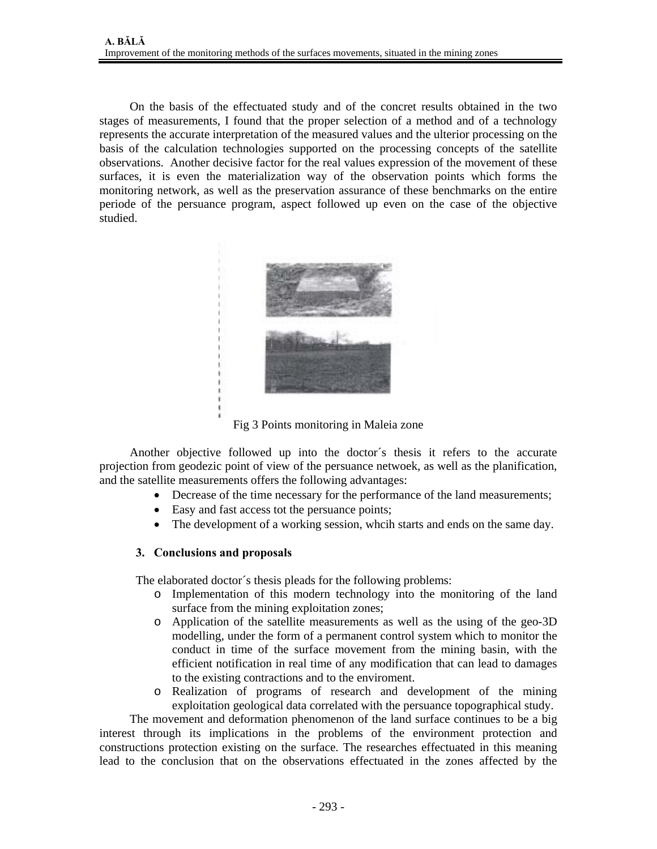On the basis of the effectuated study and of the concret results obtained in the two stages of measurements, I found that the proper selection of a method and of a technology represents the accurate interpretation of the measured values and the ulterior processing on the basis of the calculation technologies supported on the processing concepts of the satellite observations. Another decisive factor for the real values expression of the movement of these surfaces, it is even the materialization way of the observation points which forms the monitoring network, as well as the preservation assurance of these benchmarks on the entire periode of the persuance program, aspect followed up even on the case of the objective studied.



Fig 3 Points monitoring in Maleia zone

Another objective followed up into the doctor´s thesis it refers to the accurate projection from geodezic point of view of the persuance netwoek, as well as the planification, and the satellite measurements offers the following advantages:

- Decrease of the time necessary for the performance of the land measurements;
- Easy and fast access tot the persuance points;
- The development of a working session, whcih starts and ends on the same day.

### **3. Conclusions and proposals**

The elaborated doctor´s thesis pleads for the following problems:

- o Implementation of this modern technology into the monitoring of the land surface from the mining exploitation zones;
- o Application of the satellite measurements as well as the using of the geo-3D modelling, under the form of a permanent control system which to monitor the conduct in time of the surface movement from the mining basin, with the efficient notification in real time of any modification that can lead to damages to the existing contractions and to the enviroment.
- o Realization of programs of research and development of the mining exploitation geological data correlated with the persuance topographical study.

The movement and deformation phenomenon of the land surface continues to be a big interest through its implications in the problems of the environment protection and constructions protection existing on the surface. The researches effectuated in this meaning lead to the conclusion that on the observations effectuated in the zones affected by the